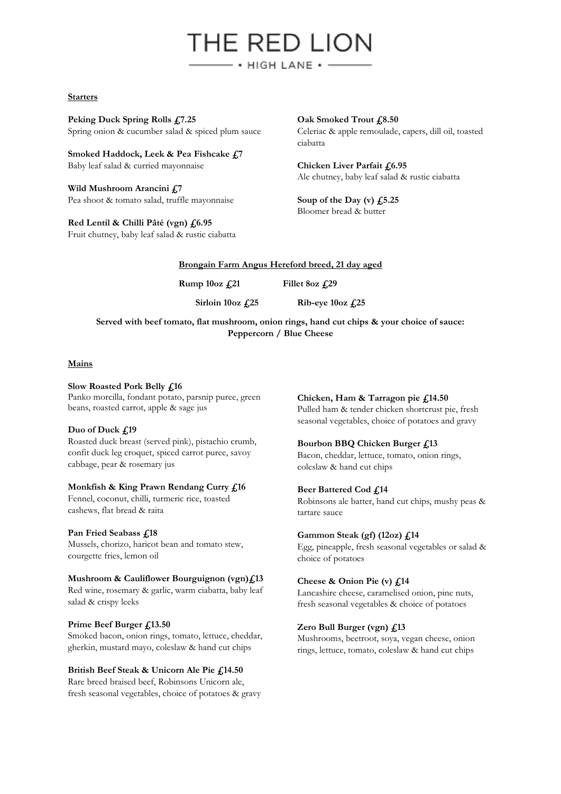# THE RED LION  $-$  • HIGH LANE •  $-$

#### **Starters**

**Peking Duck Spring Rolls £7.25**  Spring onion & cucumber salad & spiced plum sauce

**Smoked Haddock, Leek & Pea Fishcake £7** Baby leaf salad & curried mayonnaise

**Wild Mushroom Arancini £7** Pea shoot & tomato salad, truffle mayonnaise

**Red Lentil & Chilli Pâté (vgn) £6.95**  Fruit chutney, baby leaf salad & rustic ciabatta Oak Smoked Trout £8.50 Celeriac & apple remoulade, capers, dill oil, toasted ciabatta

**Chicken Liver Parfait £6.95**  Ale chutney, baby leaf salad & rustic ciabatta

**Soup of the Day (v) £5.25**  Bloomer bread & butter

## **Brongain Farm Angus Hereford breed, 21 day aged**

**Rump 10oz £21 Fillet 8oz £29** 

**Sirloin 10oz £25 Rib-eye 10oz £25**

**Served with beef tomato, flat mushroom, onion rings, hand cut chips & your choice of sauce: Peppercorn / Blue Cheese**

## **Mains**

**Slow Roasted Pork Belly £16** Panko morcilla, fondant potato, parsnip puree, green beans, roasted carrot, apple & sage jus

## **Duo of Duck £19**

Roasted duck breast (served pink), pistachio crumb, confit duck leg croquet, spiced carrot puree, savoy cabbage, pear & rosemary jus

#### **Monkfish & King Prawn Rendang Curry £16**

Fennel, coconut, chilli, turmeric rice, toasted cashews, flat bread & raita

#### **Pan Fried Seabass £18**

Mussels, chorizo, haricot bean and tomato stew, courgette fries, lemon oil

## **Mushroom & Cauliflower Bourguignon (vgn)£13**

Red wine, rosemary & garlic, warm ciabatta, baby leaf salad & crispy leeks

## **Prime Beef Burger £13.50**

Smoked bacon, onion rings, tomato, lettuce, cheddar, gherkin, mustard mayo, coleslaw & hand cut chips

## **British Beef Steak & Unicorn Ale Pie £14.50**

Rare breed braised beef, Robinsons Unicorn ale, fresh seasonal vegetables, choice of potatoes & gravy **Chicken, Ham & Tarragon pie £14.50**

Pulled ham & tender chicken shortcrust pie, fresh seasonal vegetables, choice of potatoes and gravy

## **Bourbon BBQ Chicken Burger £13**

Bacon, cheddar, lettuce, tomato, onion rings, coleslaw & hand cut chips

## **Beer Battered Cod £14**

Robinsons ale batter, hand cut chips, mushy peas & tartare sauce

## **Gammon Steak (gf) (12oz) £14**

Egg, pineapple, fresh seasonal vegetables or salad & choice of potatoes

## **Cheese & Onion Pie (v) £14**

Lancashire cheese, caramelised onion, pine nuts, fresh seasonal vegetables & choice of potatoes

## **Zero Bull Burger (vgn) £13**

Mushrooms, beetroot, soya, vegan cheese, onion rings, lettuce, tomato, coleslaw & hand cut chips